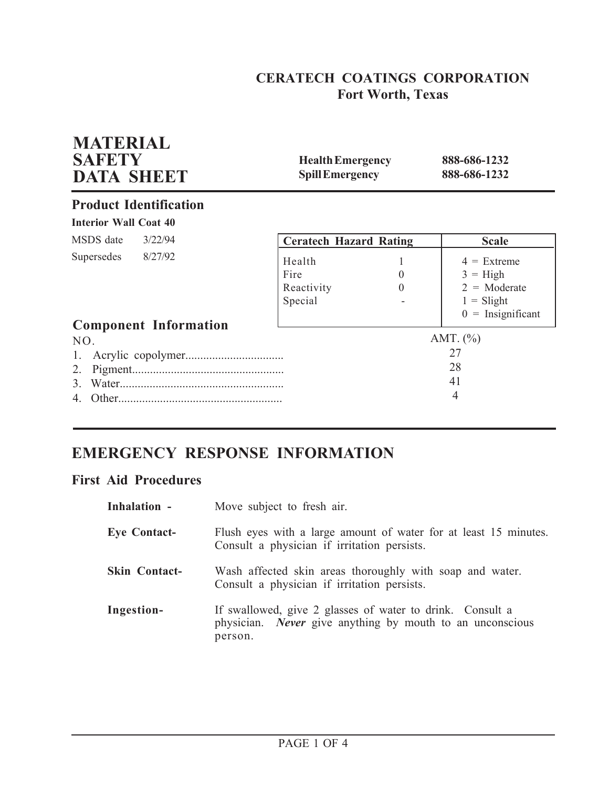## **CERATECH COATINGS CORPORATION Fort Worth, Texas**

| <b>MATERIAL</b><br><b>SAFETY</b><br><b>DATA SHEET</b> | <b>Health Emergency</b><br><b>Spill Emergency</b> |                      | 888-686-1232<br>888-686-1232                                                                |
|-------------------------------------------------------|---------------------------------------------------|----------------------|---------------------------------------------------------------------------------------------|
| <b>Product Identification</b>                         |                                                   |                      |                                                                                             |
| <b>Interior Wall Coat 40</b>                          |                                                   |                      |                                                                                             |
| MSDS date<br>3/22/94                                  | <b>Ceratech Hazard Rating</b>                     |                      | <b>Scale</b>                                                                                |
| 8/27/92<br>Supersedes<br><b>Component Information</b> | Health<br>Fire<br>Reactivity<br>Special           | $\theta$<br>$\Omega$ | $4 =$ Extreme<br>$3 = High$<br>$2 = \text{Moderate}$<br>$1 =$ Slight<br>$0 =$ Insignificant |
| NO.<br>2.<br>$\mathcal{E}$                            |                                                   |                      | AMT. $(\% )$<br>27<br>28<br>41<br>4                                                         |

# **EMERGENCY RESPONSE INFORMATION**

## **First Aid Procedures**

| Inhalation -         | Move subject to fresh air.                                                                                                               |
|----------------------|------------------------------------------------------------------------------------------------------------------------------------------|
| <b>Eye Contact-</b>  | Flush eyes with a large amount of water for at least 15 minutes.<br>Consult a physician if irritation persists.                          |
| <b>Skin Contact-</b> | Wash affected skin areas thoroughly with soap and water.<br>Consult a physician if irritation persists.                                  |
| Ingestion-           | If swallowed, give 2 glasses of water to drink. Consult a<br>physician. <i>Never</i> give anything by mouth to an unconscious<br>person. |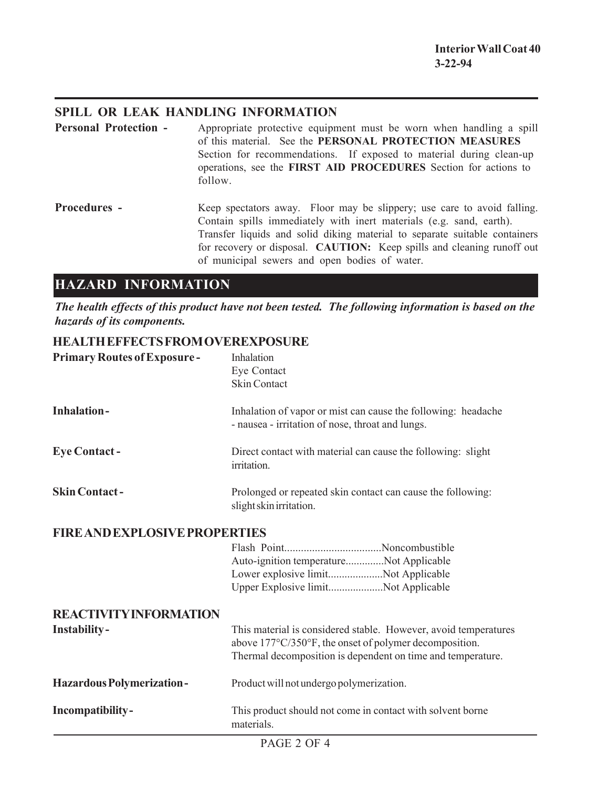### **SPILL OR LEAK HANDLING INFORMATION**

**Personal Protection -** Appropriate protective equipment must be worn when handling a spill of this material. See the **PERSONAL PROTECTION MEASURES** Section for recommendations. If exposed to material during clean-up operations, see the **FIRST AID PROCEDURES** Section for actions to follow. **Procedures -** Keep spectators away. Floor may be slippery; use care to avoid falling. Contain spills immediately with inert materials (e.g. sand, earth). Transfer liquids and solid diking material to separate suitable containers

### for recovery or disposal. **CAUTION:** Keep spills and cleaning runoff out of municipal sewers and open bodies of water.

## **HAZARD INFORMATION**

*The health effects of this product have not been tested. The following information is based on the hazards of its components.*

### **HEALTH EFFECTS FROM OVEREXPOSURE**

| <b>Primary Routes of Exposure-</b>   | Inhalation<br>Eye Contact<br><b>Skin Contact</b>                                                                                                                                         |
|--------------------------------------|------------------------------------------------------------------------------------------------------------------------------------------------------------------------------------------|
| <b>Inhalation-</b>                   | Inhalation of vapor or mist can cause the following: headache<br>- nausea - irritation of nose, throat and lungs.                                                                        |
| <b>Eye Contact-</b>                  | Direct contact with material can cause the following: slight<br>irritation.                                                                                                              |
| <b>Skin Contact-</b>                 | Prolonged or repeated skin contact can cause the following:<br>slight skin irritation.                                                                                                   |
| <b>FIRE AND EXPLOSIVE PROPERTIES</b> |                                                                                                                                                                                          |
|                                      | Auto-ignition temperatureNot Applicable<br>Lower explosive limitNot Applicable<br>Upper Explosive limitNot Applicable                                                                    |
| <b>REACTIVITY INFORMATION</b>        |                                                                                                                                                                                          |
| Instability-                         | This material is considered stable. However, avoid temperatures<br>above 177°C/350°F, the onset of polymer decomposition.<br>Thermal decomposition is dependent on time and temperature. |
| Hazardous Polymerization-            | Product will not undergo polymerization.                                                                                                                                                 |
| Incompatibility-                     | This product should not come in contact with solvent borne<br>materials.                                                                                                                 |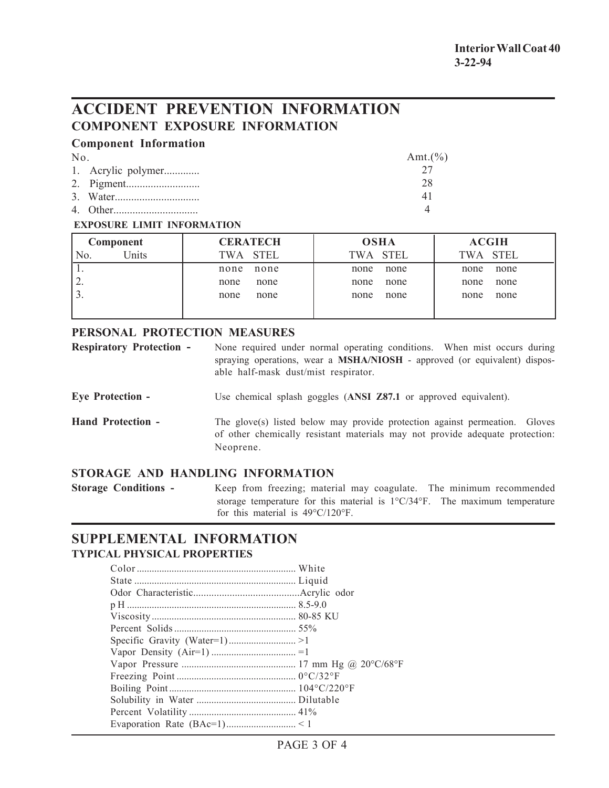## **ACCIDENT PREVENTION INFORMATION COMPONENT EXPOSURE INFORMATION**

#### **Component Information**

| No. |                    | Amt. $(\% )$ |
|-----|--------------------|--------------|
|     | 1. Acrylic polymer |              |
|     |                    | 28           |
|     |                    | 41           |
|     |                    |              |

#### **EXPOSURE LIMIT INFORMATION**

| Component               | <b>CERATECH</b> | <b>OSHA</b> | <b>ACGIH</b> |
|-------------------------|-----------------|-------------|--------------|
| Units<br>N <sub>O</sub> | TWA STEL        | TWA STEL    | TWA STEL     |
|                         | none            | none        | none         |
|                         | none            | none        | none         |
| ∠.                      | none            | none        | none         |
|                         | none            | none        | none         |
| . ر                     | none            | none        | none         |
|                         | none            | none        | none         |
|                         |                 |             |              |

#### **PERSONAL PROTECTION MEASURES**

| <b>Respiratory Protection -</b> | None required under normal operating conditions. When mist occurs during         |  |  |
|---------------------------------|----------------------------------------------------------------------------------|--|--|
|                                 | spraying operations, wear a <b>MSHA/NIOSH</b> - approved (or equivalent) dispos- |  |  |
|                                 | able half-mask dust/mist respirator.                                             |  |  |

**Eye Protection -** Use chemical splash goggles (**ANSI Z87.1** or approved equivalent).

**Hand Protection -** The glove(s) listed below may provide protection against permeation. Gloves of other chemically resistant materials may not provide adequate protection: Neoprene.

### **STORAGE AND HANDLING INFORMATION**

**Storage Conditions -** Keep from freezing; material may coagulate. The minimum recommended storage temperature for this material is 1°C/34°F. The maximum temperature for this material is 49°C/120°F.

### **SUPPLEMENTAL INFORMATION TYPICAL PHYSICAL PROPERTIES**